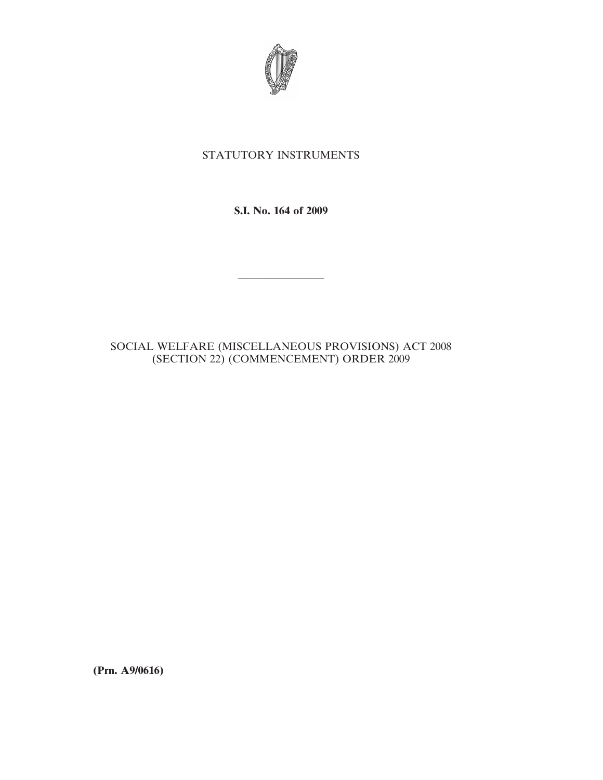

## STATUTORY INSTRUMENTS

**S.I. No. 164 of 2009**

————————

## SOCIAL WELFARE (MISCELLANEOUS PROVISIONS) ACT 2008 (SECTION 22) (COMMENCEMENT) ORDER 2009

**(Prn. A9/0616)**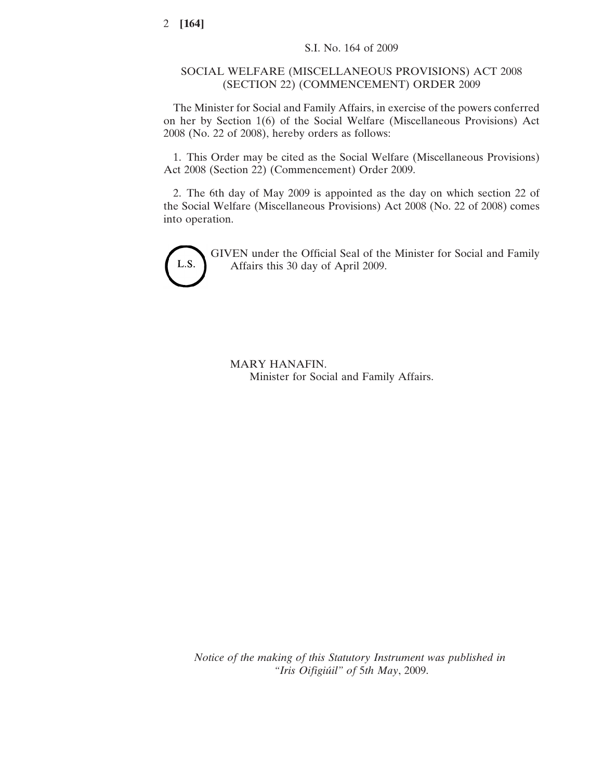## SOCIAL WELFARE (MISCELLANEOUS PROVISIONS) ACT 2008 (SECTION 22) (COMMENCEMENT) ORDER 2009

The Minister for Social and Family Affairs, in exercise of the powers conferred on her by Section 1(6) of the Social Welfare (Miscellaneous Provisions) Act 2008 (No. 22 of 2008), hereby orders as follows:

1. This Order may be cited as the Social Welfare (Miscellaneous Provisions) Act 2008 (Section 22) (Commencement) Order 2009.

2. The 6th day of May 2009 is appointed as the day on which section 22 of the Social Welfare (Miscellaneous Provisions) Act 2008 (No. 22 of 2008) comes into operation.



GIVEN under the Official Seal of the Minister for Social and Family Affairs this 30 day of April 2009.

MARY HANAFIN. Minister for Social and Family Affairs.

*Notice of the making of this Statutory Instrument was published in "Iris Oifigiu´il" of* 5*th May*, 2009.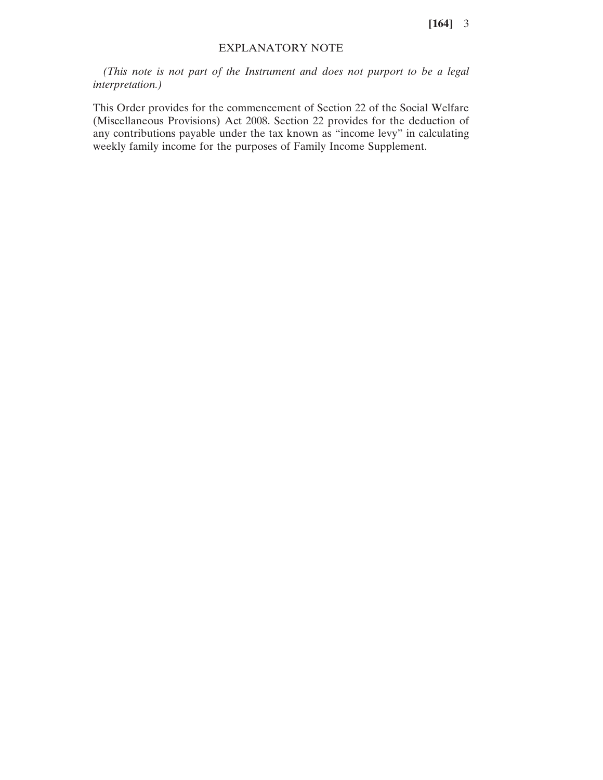**[164]** 3

## EXPLANATORY NOTE

*(This note is not part of the Instrument and does not purport to be a legal interpretation.)*

This Order provides for the commencement of Section 22 of the Social Welfare (Miscellaneous Provisions) Act 2008. Section 22 provides for the deduction of any contributions payable under the tax known as "income levy" in calculating weekly family income for the purposes of Family Income Supplement.